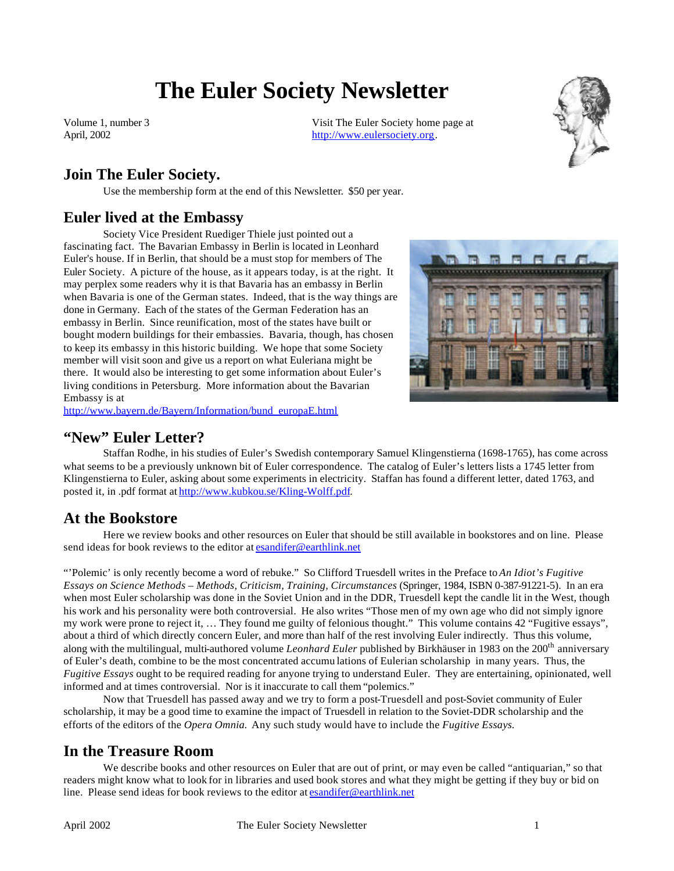# **The Euler Society Newsletter**

Volume 1, number 3 April, 2002

Visit The Euler Society home page at http://www.eulersociety.org.



## **Join The Euler Society.**

Use the membership form at the end of this Newsletter. \$50 per year.

#### **Euler lived at the Embassy**

Society Vice President Ruediger Thiele just pointed out a fascinating fact. The Bavarian Embassy in Berlin is located in Leonhard Euler's house. If in Berlin, that should be a must stop for members of The Euler Society. A picture of the house, as it appears today, is at the right. It may perplex some readers why it is that Bavaria has an embassy in Berlin when Bavaria is one of the German states. Indeed, that is the way things are done in Germany. Each of the states of the German Federation has an embassy in Berlin. Since reunification, most of the states have built or bought modern buildings for their embassies. Bavaria, though, has chosen to keep its embassy in this historic building. We hope that some Society member will visit soon and give us a report on what Euleriana might be there. It would also be interesting to get some information about Euler's living conditions in Petersburg. More information about the Bavarian Embassy is at



http://www.bayern.de/Bayern/Information/bund\_europaE.html

#### **"New" Euler Letter?**

Staffan Rodhe, in his studies of Euler's Swedish contemporary Samuel Klingenstierna (1698-1765), has come across what seems to be a previously unknown bit of Euler correspondence. The catalog of Euler's letters lists a 1745 letter from Klingenstierna to Euler, asking about some experiments in electricity. Staffan has found a different letter, dated 1763, and posted it, in .pdf format at http://www.kubkou.se/Kling-Wolff.pdf.

#### **At the Bookstore**

Here we review books and other resources on Euler that should be still available in bookstores and on line. Please send ideas for book reviews to the editor at esandifer@earthlink.net

"'Polemic' is only recently become a word of rebuke." So Clifford Truesdell writes in the Preface to *An Idiot's Fugitive Essays on Science Methods – Methods, Criticism, Training, Circumstances* (Springer, 1984, ISBN 0-387-91221-5). In an era when most Euler scholarship was done in the Soviet Union and in the DDR, Truesdell kept the candle lit in the West, though his work and his personality were both controversial. He also writes "Those men of my own age who did not simply ignore my work were prone to reject it, … They found me guilty of felonious thought." This volume contains 42 "Fugitive essays", about a third of which directly concern Euler, and more than half of the rest involving Euler indirectly. Thus this volume, along with the multilingual, multi-authored volume *Leonhard Euler* published by Birkhäuser in 1983 on the 200<sup>th</sup> anniversary of Euler's death, combine to be the most concentrated accumu lations of Eulerian scholarship in many years. Thus, the *Fugitive Essays* ought to be required reading for anyone trying to understand Euler. They are entertaining, opinionated, well informed and at times controversial. Nor is it inaccurate to call them "polemics."

Now that Truesdell has passed away and we try to form a post-Truesdell and post-Soviet community of Euler scholarship, it may be a good time to examine the impact of Truesdell in relation to the Soviet-DDR scholarship and the efforts of the editors of the *Opera Omnia.* Any such study would have to include the *Fugitive Essays.*

## **In the Treasure Room**

We describe books and other resources on Euler that are out of print, or may even be called "antiquarian," so that readers might know what to look for in libraries and used book stores and what they might be getting if they buy or bid on line. Please send ideas for book reviews to the editor at esandifer@earthlink.net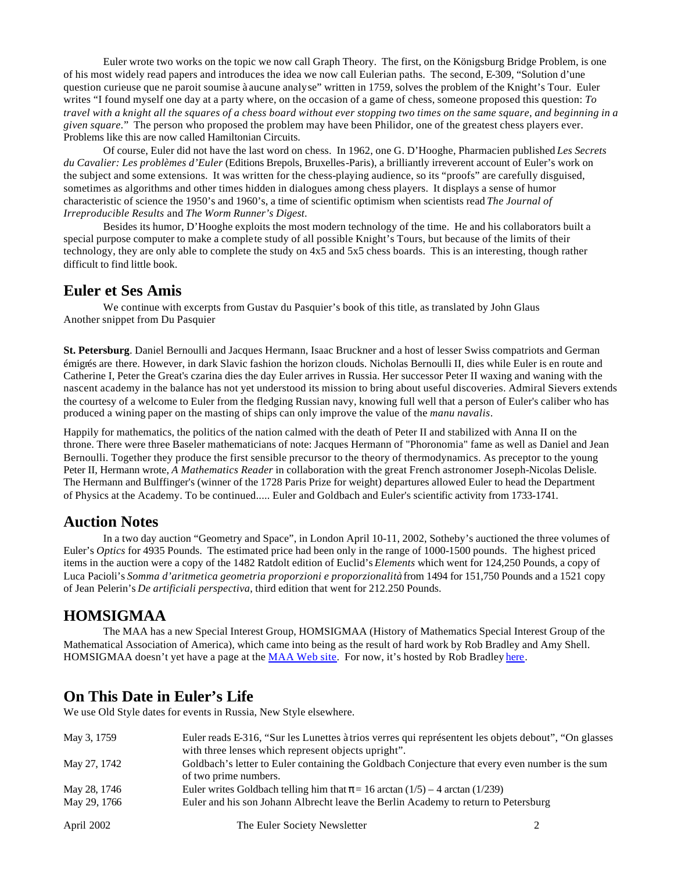Euler wrote two works on the topic we now call Graph Theory. The first, on the Königsburg Bridge Problem, is one of his most widely read papers and introduces the idea we now call Eulerian paths. The second, E-309, "Solution d'une question curieuse que ne paroit soumise à aucune analyse" written in 1759, solves the problem of the Knight's Tour. Euler writes "I found myself one day at a party where, on the occasion of a game of chess, someone proposed this question: *To travel with a knight all the squares of a chess board without ever stopping two times on the same square, and beginning in a given square.*" The person who proposed the problem may have been Philidor, one of the greatest chess players ever. Problems like this are now called Hamiltonian Circuits.

Of course, Euler did not have the last word on chess. In 1962, one G. D'Hooghe, Pharmacien published *Les Secrets du Cavalier: Les problèmes d'Euler* (Editions Brepols, Bruxelles-Paris), a brilliantly irreverent account of Euler's work on the subject and some extensions. It was written for the chess-playing audience, so its "proofs" are carefully disguised, sometimes as algorithms and other times hidden in dialogues among chess players. It displays a sense of humor characteristic of science the 1950's and 1960's, a time of scientific optimism when scientists read *The Journal of Irreproducible Results* and *The Worm Runner's Digest*.

Besides its humor, D'Hooghe exploits the most modern technology of the time. He and his collaborators built a special purpose computer to make a complete study of all possible Knight's Tours, but because of the limits of their technology, they are only able to complete the study on 4x5 and 5x5 chess boards. This is an interesting, though rather difficult to find little book.

#### **Euler et Ses Amis**

We continue with excerpts from Gustav du Pasquier's book of this title, as translated by John Glaus Another snippet from Du Pasquier

**St. Petersburg**. Daniel Bernoulli and Jacques Hermann, Isaac Bruckner and a host of lesser Swiss compatriots and German émigrés are there. However, in dark Slavic fashion the horizon clouds. Nicholas Bernoulli II, dies while Euler is en route and Catherine I, Peter the Great's czarina dies the day Euler arrives in Russia. Her successor Peter II waxing and waning with the nascent academy in the balance has not yet understood its mission to bring about useful discoveries. Admiral Sievers extends the courtesy of a welcome to Euler from the fledging Russian navy, knowing full well that a person of Euler's caliber who has produced a wining paper on the masting of ships can only improve the value of the *manu navalis*.

Happily for mathematics, the politics of the nation calmed with the death of Peter II and stabilized with Anna II on the throne. There were three Baseler mathematicians of note: Jacques Hermann of "Phoronomia" fame as well as Daniel and Jean Bernoulli. Together they produce the first sensible precursor to the theory of thermodynamics. As preceptor to the young Peter II, Hermann wrote, *A Mathematics Reader* in collaboration with the great French astronomer Joseph-Nicolas Delisle. The Hermann and Bulffinger's (winner of the 1728 Paris Prize for weight) departures allowed Euler to head the Department of Physics at the Academy. To be continued..... Euler and Goldbach and Euler's scientific activity from 1733-1741.

#### **Auction Notes**

In a two day auction "Geometry and Space", in London April 10-11, 2002, Sotheby's auctioned the three volumes of Euler's *Optics* for 4935 Pounds. The estimated price had been only in the range of 1000-1500 pounds. The highest priced items in the auction were a copy of the 1482 Ratdolt edition of Euclid's *Elements* which went for 124,250 Pounds, a copy of Luca Pacioli's *Somma d'aritmetica geometria proporzioni e proporzionalità* from 1494 for 151,750 Pounds and a 1521 copy of Jean Pelerin's *De artificiali perspectiva*, third edition that went for 212.250 Pounds.

#### **HOMSIGMAA**

The MAA has a new Special Interest Group, HOMSIGMAA (History of Mathematics Special Interest Group of the Mathematical Association of America), which came into being as the result of hard work by Rob Bradley and Amy Shell. HOMSIGMAA doesn't yet have a page at the MAA Web site. For now, it's hosted by Rob Bradley here.

## **On This Date in Euler's Life**

We use Old Style dates for events in Russia, New Style elsewhere.

| May 3, 1759  | Euler reads E-316, "Sur les Lunettes à trios verres qui représentent les objets debout", "On glasses"<br>with three lenses which represent objects upright". |  |
|--------------|--------------------------------------------------------------------------------------------------------------------------------------------------------------|--|
| May 27, 1742 | Goldbach's letter to Euler containing the Goldbach Conjecture that every even number is the sum<br>of two prime numbers.                                     |  |
| May 28, 1746 | Euler writes Goldbach telling him that $\pi$ = 16 arctan (1/5) – 4 arctan (1/239)                                                                            |  |
| May 29, 1766 | Euler and his son Johann Albrecht leave the Berlin Academy to return to Petersburg                                                                           |  |
| April 2002   | The Euler Society Newsletter                                                                                                                                 |  |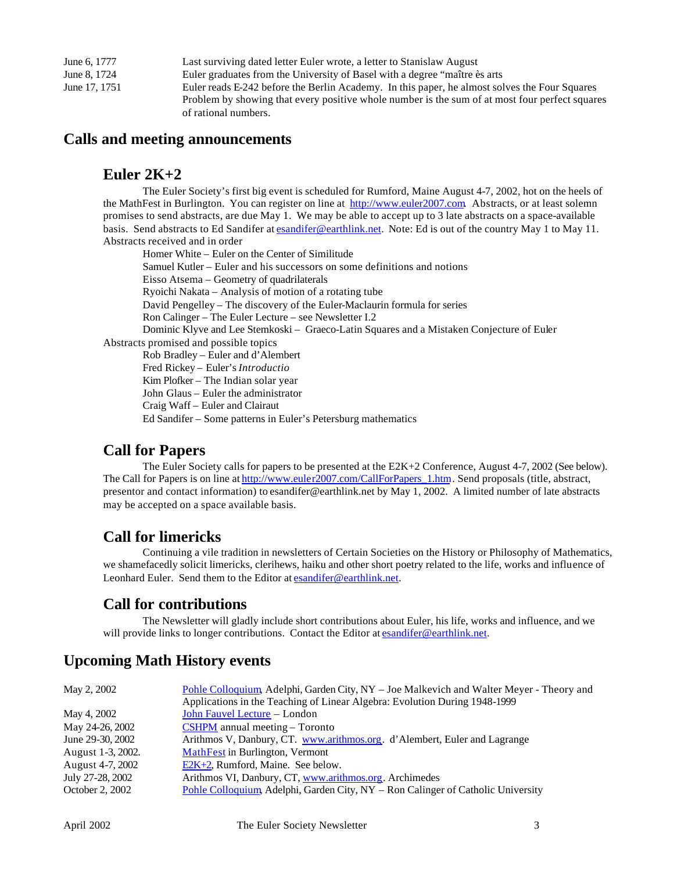June 6, 1777 Last surviving dated letter Euler wrote, a letter to Stanislaw August June 8, 1724 Euler graduates from the University of Basel with a degree "maître ès arts June 17, 1751 Euler reads E-242 before the Berlin Academy. In this paper, he almost solves the Four Squares Problem by showing that every positive whole number is the sum of at most four perfect squares of rational numbers.

#### **Calls and meeting announcements**

### **Euler 2K+2**

The Euler Society's first big event is scheduled for Rumford, Maine August 4-7, 2002, hot on the heels of the MathFest in Burlington. You can register on line at http://www.euler2007.com. Abstracts, or at least solemn promises to send abstracts, are due May 1. We may be able to accept up to 3 late abstracts on a space-available basis. Send abstracts to Ed Sandifer at esandifer@earthlink.net. Note: Ed is out of the country May 1 to May 11. Abstracts received and in order

Homer White – Euler on the Center of Similitude Samuel Kutler – Euler and his successors on some definitions and notions Eisso Atsema – Geometry of quadrilaterals Ryoichi Nakata – Analysis of motion of a rotating tube David Pengelley – The discovery of the Euler-Maclaurin formula for series Ron Calinger – The Euler Lecture – see Newsletter I.2 Dominic Klyve and Lee Stemkoski – Graeco-Latin Squares and a Mistaken Conjecture of Euler Abstracts promised and possible topics Rob Bradley – Euler and d'Alembert Fred Rickey – Euler's *Introductio* Kim Plofker – The Indian solar year

John Glaus – Euler the administrator

Craig Waff – Euler and Clairaut

Ed Sandifer – Some patterns in Euler's Petersburg mathematics

#### **Call for Papers**

The Euler Society calls for papers to be presented at the E2K+2 Conference, August 4-7, 2002 (See below). The Call for Papers is on line at http://www.euler2007.com/CallForPapers\_1.htm. Send proposals (title, abstract, presentor and contact information) to esandifer@earthlink.net by May 1, 2002. A limited number of late abstracts may be accepted on a space available basis.

## **Call for limericks**

Continuing a vile tradition in newsletters of Certain Societies on the History or Philosophy of Mathematics, we shamefacedly solicit limericks, clerihews, haiku and other short poetry related to the life, works and influence of Leonhard Euler. Send them to the Editor at esandifer@earthlink.net.

## **Call for contributions**

The Newsletter will gladly include short contributions about Euler, his life, works and influence, and we will provide links to longer contributions. Contact the Editor at esandifer@earthlink.net.

## **Upcoming Math History events**

| May 2, 2002       | Pohle Colloquium, Adelphi, Garden City, NY - Joe Malkevich and Walter Meyer - Theory and<br>Applications in the Teaching of Linear Algebra: Evolution During 1948-1999 |
|-------------------|------------------------------------------------------------------------------------------------------------------------------------------------------------------------|
| May 4, 2002       | John Fauvel Lecture - London                                                                                                                                           |
| May 24-26, 2002   | $CSHPM$ annual meeting – Toronto                                                                                                                                       |
| June 29-30, 2002  | Arithmos V, Danbury, CT. www.arithmos.org. d'Alembert, Euler and Lagrange                                                                                              |
| August 1-3, 2002. | <b>MathFest</b> in Burlington, Vermont                                                                                                                                 |
| August 4-7, 2002  | E2K+2, Rumford, Maine. See below.                                                                                                                                      |
| July 27-28, 2002  | Arithmos VI, Danbury, CT, www.arithmos.org. Archimedes                                                                                                                 |
| October 2, 2002   | Pohle Colloquium, Adelphi, Garden City, NY – Ron Calinger of Catholic University                                                                                       |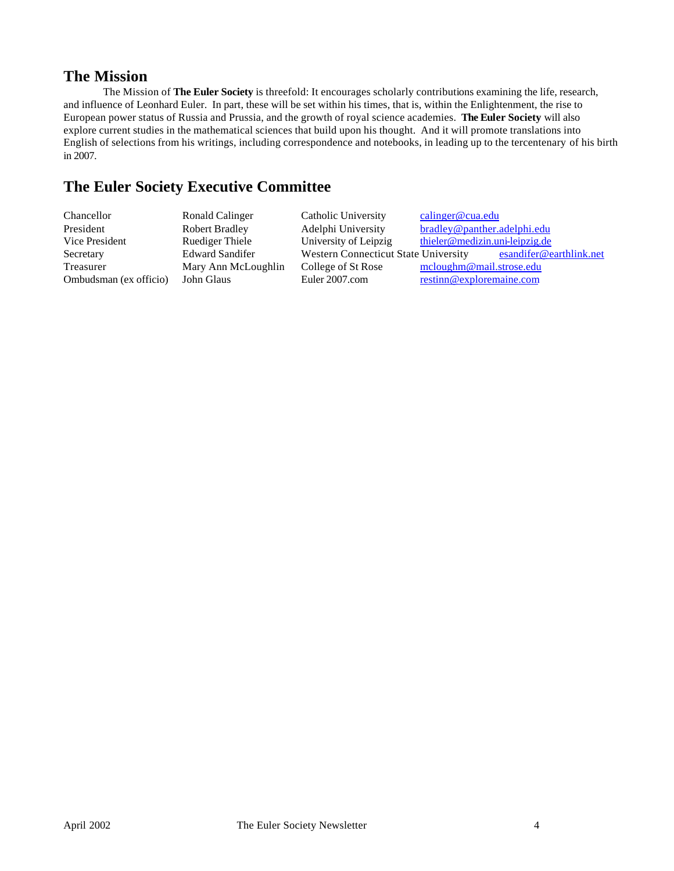#### **The Mission**

The Mission of **The Euler Society** is threefold: It encourages scholarly contributions examining the life, research, and influence of Leonhard Euler. In part, these will be set within his times, that is, within the Enlightenment, the rise to European power status of Russia and Prussia, and the growth of royal science academies. **The Euler Society** will also explore current studies in the mathematical sciences that build upon his thought. And it will promote translations into English of selections from his writings, including correspondence and notebooks, in leading up to the tercentenary of his birth in 2007.

## **The Euler Society Executive Committee**

| esandifer@earthlink.net |
|-------------------------|
|                         |
|                         |
|                         |